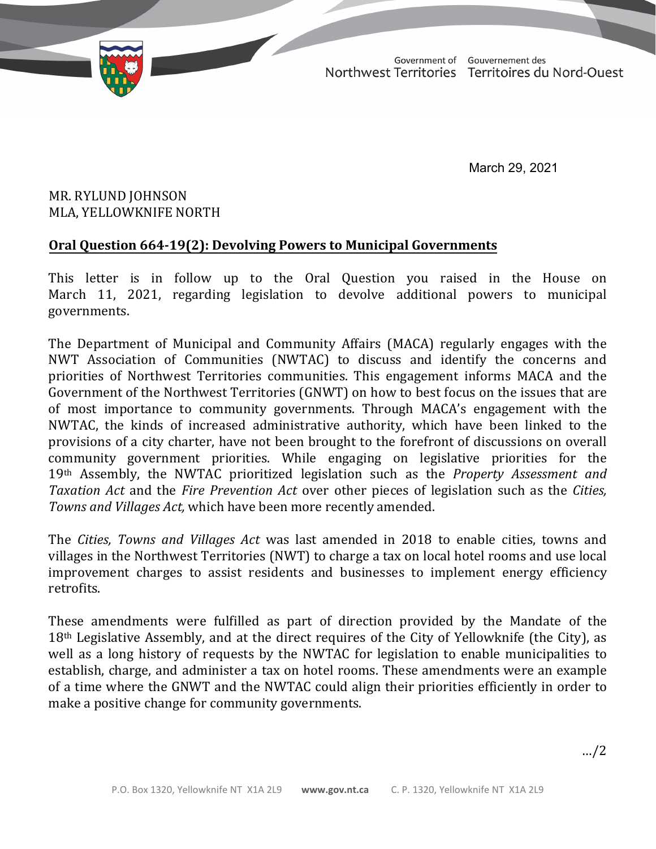TD 369-19(2) TABLED ON MARCH 30, 2021

Government of Gouvernement des Northwest Territories Territoires du Nord-Ouest

March 29, 2021

## MR. RYLUND JOHNSON MLA, YELLOWKNIFE NORTH

## **Oral Question 664-19(2): Devolving Powers to Municipal Governments**

This letter is in follow up to the Oral Question you raised in the House on March 11, 2021, regarding legislation to devolve additional powers to municipal governments.

The Department of Municipal and Community Affairs (MACA) regularly engages with the NWT Association of Communities (NWTAC) to discuss and identify the concerns and priorities of Northwest Territories communities. This engagement informs MACA and the Government of the Northwest Territories (GNWT) on how to best focus on the issues that are of most importance to community governments. Through MACA's engagement with the NWTAC, the kinds of increased administrative authority, which have been linked to the provisions of a city charter, have not been brought to the forefront of discussions on overall community government priorities. While engaging on legislative priorities for the 19th Assembly, the NWTAC prioritized legislation such as the *Property Assessment and Taxation Act* and the *Fire Prevention Act* over other pieces of legislation such as the *Cities, Towns and Villages Act,* which have been more recently amended.

The *Cities, Towns and Villages Act* was last amended in 2018 to enable cities, towns and villages in the Northwest Territories (NWT) to charge a tax on local hotel rooms and use local improvement charges to assist residents and businesses to implement energy efficiency retrofits.

These amendments were fulfilled as part of direction provided by the Mandate of the 18th Legislative Assembly, and at the direct requires of the City of Yellowknife (the City), as well as a long history of requests by the NWTAC for legislation to enable municipalities to establish, charge, and administer a tax on hotel rooms. These amendments were an example of a time where the GNWT and the NWTAC could align their priorities efficiently in order to make a positive change for community governments.

…/2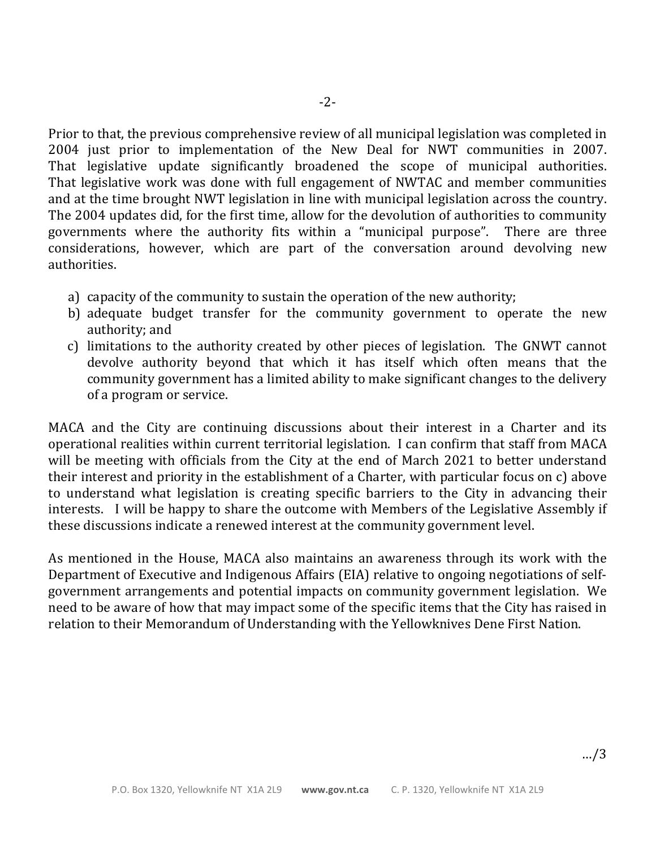Prior to that, the previous comprehensive review of all municipal legislation was completed in 2004 just prior to implementation of the New Deal for NWT communities in 2007. That legislative update significantly broadened the scope of municipal authorities. That legislative work was done with full engagement of NWTAC and member communities and at the time brought NWT legislation in line with municipal legislation across the country. The 2004 updates did, for the first time, allow for the devolution of authorities to community governments where the authority fits within a "municipal purpose". There are three considerations, however, which are part of the conversation around devolving new authorities.

- a) capacity of the community to sustain the operation of the new authority;
- b) adequate budget transfer for the community government to operate the new authority; and
- c) limitations to the authority created by other pieces of legislation. The GNWT cannot devolve authority beyond that which it has itself which often means that the community government has a limited ability to make significant changes to the delivery of a program or service.

MACA and the City are continuing discussions about their interest in a Charter and its operational realities within current territorial legislation. I can confirm that staff from MACA will be meeting with officials from the City at the end of March 2021 to better understand their interest and priority in the establishment of a Charter, with particular focus on c) above to understand what legislation is creating specific barriers to the City in advancing their interests. I will be happy to share the outcome with Members of the Legislative Assembly if these discussions indicate a renewed interest at the community government level.

As mentioned in the House, MACA also maintains an awareness through its work with the Department of Executive and Indigenous Affairs (EIA) relative to ongoing negotiations of selfgovernment arrangements and potential impacts on community government legislation. We need to be aware of how that may impact some of the specific items that the City has raised in relation to their Memorandum of Understanding with the Yellowknives Dene First Nation.